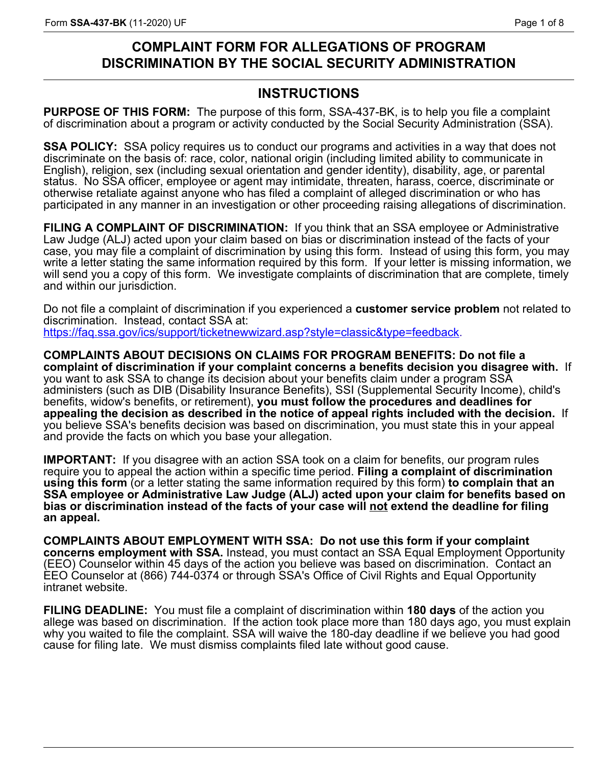# **COMPLAINT FORM FOR ALLEGATIONS OF PROGRAM DISCRIMINATION BY THE SOCIAL SECURITY ADMINISTRATION**

# **INSTRUCTIONS**

**PURPOSE OF THIS FORM:** The purpose of this form, SSA-437-BK, is to help you file a complaint of discrimination about a program or activity conducted by the Social Security Administration (SSA).

**SSA POLICY:** SSA policy requires us to conduct our programs and activities in a way that does not discriminate on the basis of: race, color, national origin (including limited ability to communicate in English), religion, sex (including sexual orientation and gender identity), disability, age, or parental status. No SSA officer, employee or agent may intimidate, threaten, harass, coerce, discriminate or otherwise retaliate against anyone who has filed a complaint of alleged discrimination or who has participated in any manner in an investigation or other proceeding raising allegations of discrimination.

**FILING A COMPLAINT OF DISCRIMINATION:** If you think that an SSA employee or Administrative Law Judge (ALJ) acted upon your claim based on bias or discrimination instead of the facts of your case, you may file a complaint of discrimination by using this form. Instead of using this form, you may write a letter stating the same information required by this form. If your letter is missing information, we will send you a copy of this form. We investigate complaints of discrimination that are complete, timely and within our jurisdiction.

Do not file a complaint of discrimination [if](https://faq.ssa.gov/ics/support/ticketnewwizard.asp?style=classic&type=feedback) you experienced a **customer service problem** not related to discrimination. Instead, contact SSA at: <https://faq.ssa.gov/ics/support/ticketnewwizard.asp?style=classic&type=feedback>.

**COMPLAINTS ABOUT DECISIONS ON CLAIMS FOR PROGRAM BENEFITS: Do not file a complaint of discrimination if your complaint concerns a benefits decision you disagree with.** If you want to ask SSA to change its decision about your benefits claim under a program SSA administers (such as DIB (Disability Insurance Benefits), SSI (Supplemental Security Income), child's benefits, widow's benefits, or retirement), **you must follow the procedures and deadlines for appealing the decision as described in the notice of appeal rights included with the decision.** If you believe SSA's benefits decision was based on discrimination, you must state this in your appeal and provide the facts on which you base your allegation.

**IMPORTANT:** If you disagree with an action SSA took on a claim for benefits, our program rules require you to appeal the action within a specific time period. **Filing a complaint of discrimination using this form** (or a letter stating the same information required by this form) **to complain that an SSA employee or Administrative Law Judge (ALJ) acted upon your claim for benefits based on bias or discrimination instead of the facts of your case will not extend the deadline for filing an appeal.** 

**COMPLAINTS ABOUT EMPLOYMENT WITH SSA: Do not use this form if your complaint concerns employment with SSA.** Instead, you must contact an SSA Equal Employment Opportunity (EEO) Counselor within 45 days of the action you believe was based on discrimination. Contact an EEO Counselor at (866) 744-0374 or through SSA's Office of Civil Rights and Equal Opportunity intranet website.

**FILING DEADLINE:** You must file a complaint of discrimination within **180 days** of the action you allege was based on discrimination. If the action took place more than 180 days ago, you must explain why you waited to file the complaint. SSA will waive the 180-day deadline if we believe you had good cause for filing late. We must dismiss complaints filed late without good cause.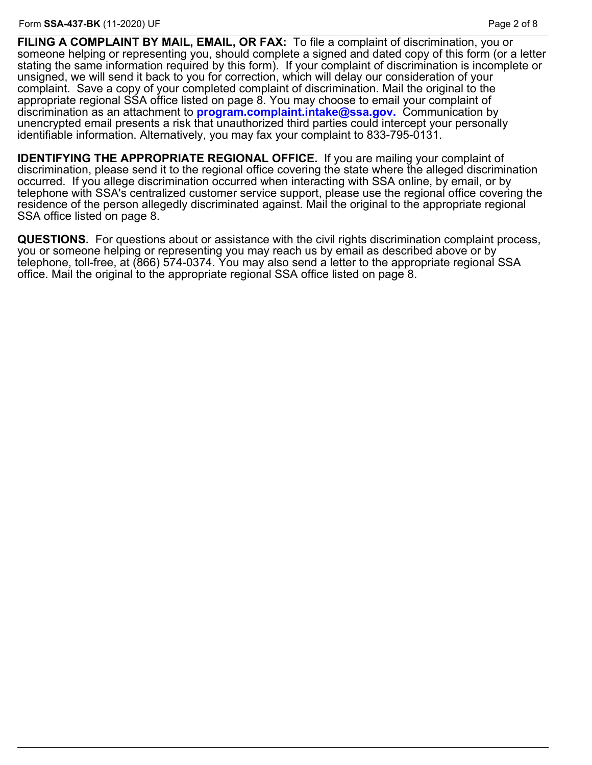**FILING A COMPLAINT BY MAIL, EMAIL, OR FAX:** To file a complaint of discrimination, you or someone helping or representing you, should complete a signed and dated copy of this form (or a letter stating the same information required by this form). If your complaint of discrimination is incomplete or unsigned, we will send it back to you for correction, which will delay our consideration of your complaint. Save a copy of your completed complaint of discrimination. Mail the original to the appropriate regional SSA office listed on page 8. You may choose to email your complaint of discrimination as an attachment to **[program.complaint.intake@ssa.gov.](mailto:program.complaint.intake@ssa.gov)** Communication by unencrypted email presents a risk that unauthorized third parties could intercept your personally identifiable information. Alternatively, you may fax your complaint to 833-795-0131.

**IDENTIFYING THE APPROPRIATE REGIONAL OFFICE.** If you are mailing your complaint of discrimination, please send it to the regional office covering the state where the alleged discrimination occurred. If you allege discrimination occurred when interacting with SSA online, by email, or by telephone with SSA's centralized customer service support, please use the regional office covering the residence of the person allegedly discriminated against. Mail the original to the appropriate regional SSA office listed on page 8.

**QUESTIONS.** For questions about or assistance with the civil rights discrimination complaint process, you or someone helping or representing you may reach us by email as described above or by telephone, toll-free, at (866) 574-0374. You may also send a letter to the appropriate regional SSA office. Mail the original to the appropriate regional SSA office listed on page 8.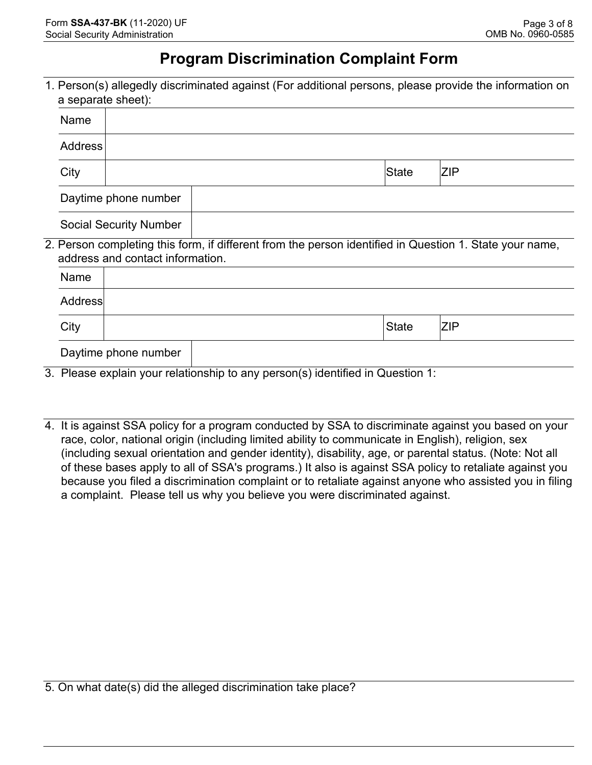# **Program Discrimination Complaint Form**

1. Person(s) allegedly discriminated against (For additional persons, please provide the information on a separate sheet):

|  | Name                          |                                                                                                                                             |  |                                                                                |              |            |  |
|--|-------------------------------|---------------------------------------------------------------------------------------------------------------------------------------------|--|--------------------------------------------------------------------------------|--------------|------------|--|
|  | <b>Address</b>                |                                                                                                                                             |  |                                                                                |              |            |  |
|  | City                          |                                                                                                                                             |  |                                                                                | State        | <b>ZIP</b> |  |
|  | Daytime phone number          |                                                                                                                                             |  |                                                                                |              |            |  |
|  | <b>Social Security Number</b> |                                                                                                                                             |  |                                                                                |              |            |  |
|  |                               | 2. Person completing this form, if different from the person identified in Question 1. State your name,<br>address and contact information. |  |                                                                                |              |            |  |
|  | <b>Name</b>                   |                                                                                                                                             |  |                                                                                |              |            |  |
|  | Address                       |                                                                                                                                             |  |                                                                                |              |            |  |
|  | City                          |                                                                                                                                             |  |                                                                                | <b>State</b> | <b>ZIP</b> |  |
|  |                               | Daytime phone number                                                                                                                        |  |                                                                                |              |            |  |
|  |                               |                                                                                                                                             |  | 3. Please explain your relationship to any person(s) identified in Question 1: |              |            |  |

4. It is against SSA policy for a program conducted by SSA to discriminate against you based on your race, color, national origin (including limited ability to communicate in English), religion, sex (including sexual orientation and gender identity), disability, age, or parental status. (Note: Not all of these bases apply to all of SSA's programs.) It also is against SSA policy to retaliate against you because you filed a discrimination complaint or to retaliate against anyone who assisted you in filing a complaint. Please tell us why you believe you were discriminated against.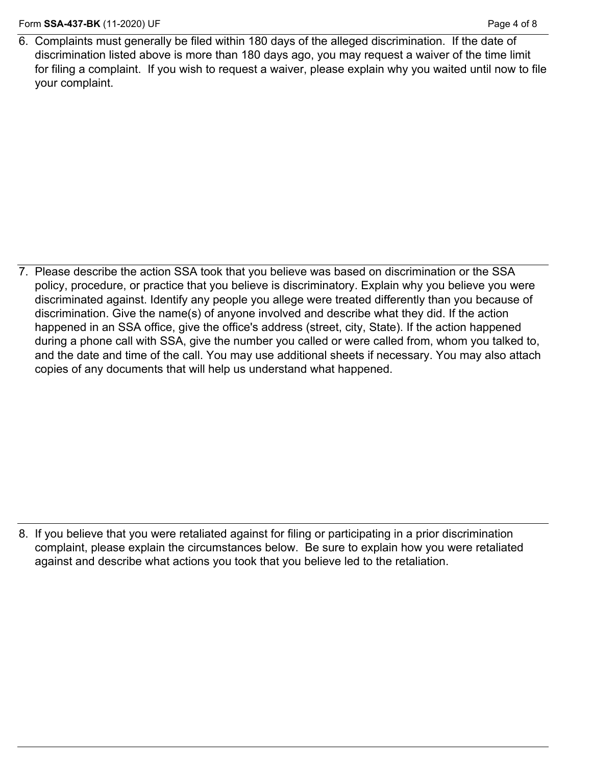6. Complaints must generally be filed within 180 days of the alleged discrimination. If the date of discrimination listed above is more than 180 days ago, you may request a waiver of the time limit for filing a complaint. If you wish to request a waiver, please explain why you waited until now to file your complaint.

7. Please describe the action SSA took that you believe was based on discrimination or the SSA policy, procedure, or practice that you believe is discriminatory. Explain why you believe you were discriminated against. Identify any people you allege were treated differently than you because of discrimination. Give the name(s) of anyone involved and describe what they did. If the action happened in an SSA office, give the office's address (street, city, State). If the action happened during a phone call with SSA, give the number you called or were called from, whom you talked to, and the date and time of the call. You may use additional sheets if necessary. You may also attach copies of any documents that will help us understand what happened.

8. If you believe that you were retaliated against for filing or participating in a prior discrimination complaint, please explain the circumstances below. Be sure to explain how you were retaliated against and describe what actions you took that you believe led to the retaliation.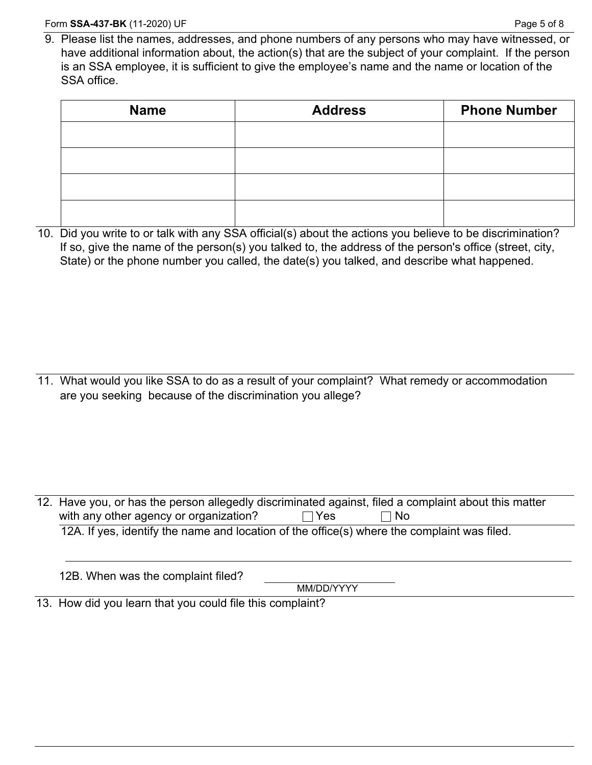9. Please list the names, addresses, and phone numbers of any persons who may have witnessed, or have additional information about, the action(s) that are the subject of your complaint. If the person is an SSA employee, it is sufficient to give the employee's name and the name or location of the SSA office.

| <b>Name</b> | <b>Address</b> | <b>Phone Number</b> |
|-------------|----------------|---------------------|
|             |                |                     |
|             |                |                     |
|             |                |                     |
|             |                |                     |

10. Did you write to or talk with any SSA official(s) about the actions you believe to be discrimination? If so, give the name of the person(s) you talked to, the address of the person's office (street, city, State) or the phone number you called, the date(s) you talked, and describe what happened.

11. What would you like SSA to do as a result of your complaint? What remedy or accommodation are you seeking because of the discrimination you allege?

| TZ. Trave you, or has the person allegedly discriminated against, filed a complaint about this matter |  |  |  |  |  |
|-------------------------------------------------------------------------------------------------------|--|--|--|--|--|
| with any other agency or organization?<br>-No<br><b>Yes</b>                                           |  |  |  |  |  |
| 12A. If yes, identify the name and location of the office(s) where the complaint was filed.           |  |  |  |  |  |
|                                                                                                       |  |  |  |  |  |
|                                                                                                       |  |  |  |  |  |
| 12B. When was the complaint filed?                                                                    |  |  |  |  |  |

MM/DD/YYYY

or has the person allegedly discriminated against, filed a complaint about this matter

13. How did you learn that you could file this complaint?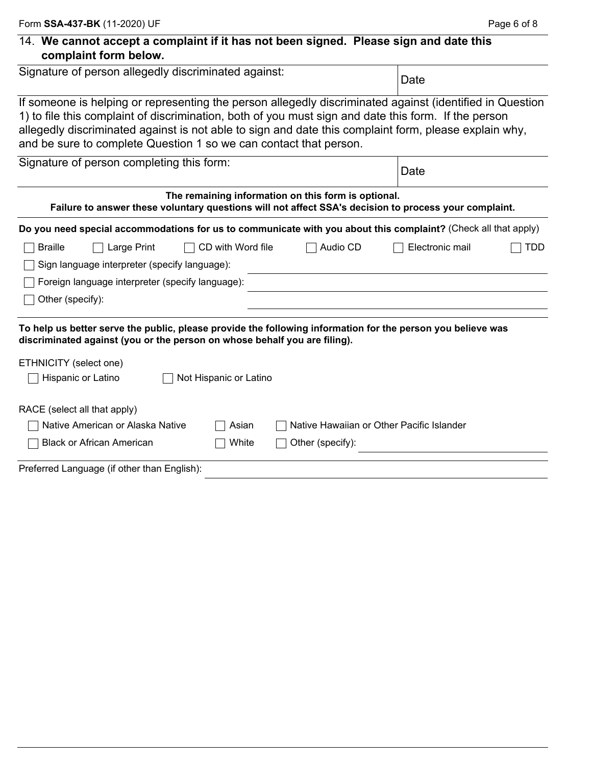| 14. We cannot accept a complaint if it has not been signed. Please sign and date this |  |  |
|---------------------------------------------------------------------------------------|--|--|
| complaint form below.                                                                 |  |  |

| Signature of person allegedly discriminated against:                                                                                                                                                                                                                                                                                                                                           | Date                   |                                                     |                                           |            |
|------------------------------------------------------------------------------------------------------------------------------------------------------------------------------------------------------------------------------------------------------------------------------------------------------------------------------------------------------------------------------------------------|------------------------|-----------------------------------------------------|-------------------------------------------|------------|
| If someone is helping or representing the person allegedly discriminated against (identified in Question<br>1) to file this complaint of discrimination, both of you must sign and date this form. If the person<br>allegedly discriminated against is not able to sign and date this complaint form, please explain why,<br>and be sure to complete Question 1 so we can contact that person. |                        |                                                     |                                           |            |
| Signature of person completing this form:                                                                                                                                                                                                                                                                                                                                                      | Date                   |                                                     |                                           |            |
| Failure to answer these voluntary questions will not affect SSA's decision to process your complaint.                                                                                                                                                                                                                                                                                          |                        | The remaining information on this form is optional. |                                           |            |
| Do you need special accommodations for us to communicate with you about this complaint? (Check all that apply)                                                                                                                                                                                                                                                                                 |                        |                                                     |                                           |            |
| <b>Braille</b><br>Large Print                                                                                                                                                                                                                                                                                                                                                                  | CD with Word file      | Audio CD                                            | Electronic mail                           | <b>TDD</b> |
| Sign language interpreter (specify language):                                                                                                                                                                                                                                                                                                                                                  |                        |                                                     |                                           |            |
| Foreign language interpreter (specify language):                                                                                                                                                                                                                                                                                                                                               |                        |                                                     |                                           |            |
| Other (specify):                                                                                                                                                                                                                                                                                                                                                                               |                        |                                                     |                                           |            |
| To help us better serve the public, please provide the following information for the person you believe was<br>discriminated against (you or the person on whose behalf you are filing).                                                                                                                                                                                                       |                        |                                                     |                                           |            |
| ETHNICITY (select one)                                                                                                                                                                                                                                                                                                                                                                         |                        |                                                     |                                           |            |
| Hispanic or Latino                                                                                                                                                                                                                                                                                                                                                                             | Not Hispanic or Latino |                                                     |                                           |            |
| RACE (select all that apply)                                                                                                                                                                                                                                                                                                                                                                   |                        |                                                     |                                           |            |
| Native American or Alaska Native                                                                                                                                                                                                                                                                                                                                                               | Asian                  |                                                     | Native Hawaiian or Other Pacific Islander |            |
| <b>Black or African American</b>                                                                                                                                                                                                                                                                                                                                                               | White                  | Other (specify):                                    |                                           |            |
| Preferred Language (if other than English):                                                                                                                                                                                                                                                                                                                                                    |                        |                                                     |                                           |            |

L.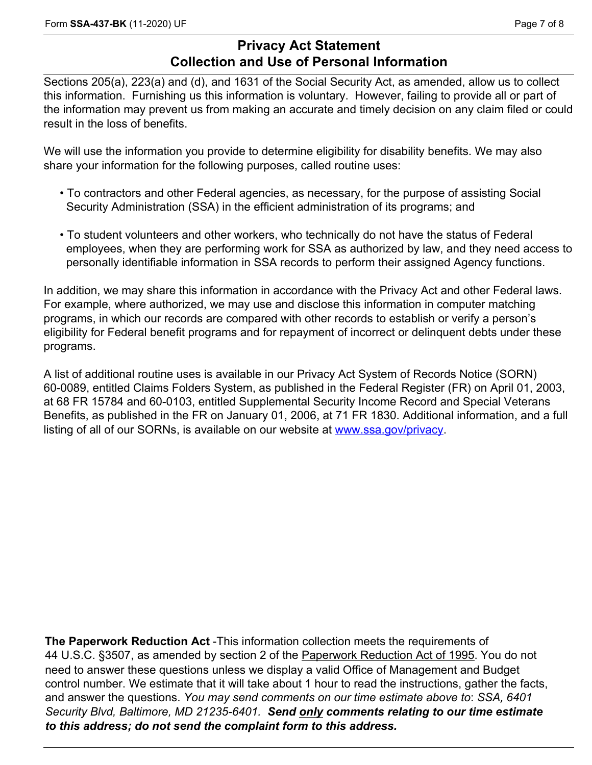## **Privacy Act Statement Collection and Use of Personal Information**

Sections 205(a), 223(a) and (d), and 1631 of the Social Security Act, as amended, allow us to collect this information. Furnishing us this information is voluntary. However, failing to provide all or part of the information may prevent us from making an accurate and timely decision on any claim filed or could result in the loss of benefits.

We will use the information you provide to determine eligibility for disability benefits. We may also share your information for the following purposes, called routine uses:

- To contractors and other Federal agencies, as necessary, for the purpose of assisting Social Security Administration (SSA) in the efficient administration of its programs; and
- To student volunteers and other workers, who technically do not have the status of Federal employees, when they are performing work for SSA as authorized by law, and they need access to personally identifiable information in SSA records to perform their assigned Agency functions.

In addition, we may share this information in accordance with the Privacy Act and other Federal laws. For example, where authorized, we may use and disclose this information in computer matching programs, in which our records are compared with other records to establish or verify a person's eligibility for Federal benefit programs and for repayment of incorrect or delinquent debts under these programs.

A list of additional routine uses is available in our Privacy Act System of Records Notice (SORN) 60-0089, entitled Claims Folders System, as published in the Federal Register (FR) on April 01, 2003, at 68 FR 15784 and 60-0103, entitled Supplemental Security Income Record and Special Veterans Benefits, as published in the FR on January 01, 2006, at 71 FR 1830. Additional information, and a full listing of all of our SORNs, is available on our website at [www.ssa.gov/privacy.](www.ssa.gov/privacy)

**The Paperwork Reduction Act** -This information collection meets the requirements of 44 U.S.C. §3507, as amended by section 2 of the Paperwork Reduction Act of 1995. You do not need to answer these questions unless we display a valid Office of Management and Budget control number. We estimate that it will take about 1 hour to read the instructions, gather the facts, and answer the questions. *You may send comments on our time estimate above to*: *SSA*, *6401 Security Blvd, Baltimore, MD 21235-6401. Send only comments relating to our time estimate to this address; do not send the complaint form to this address.*